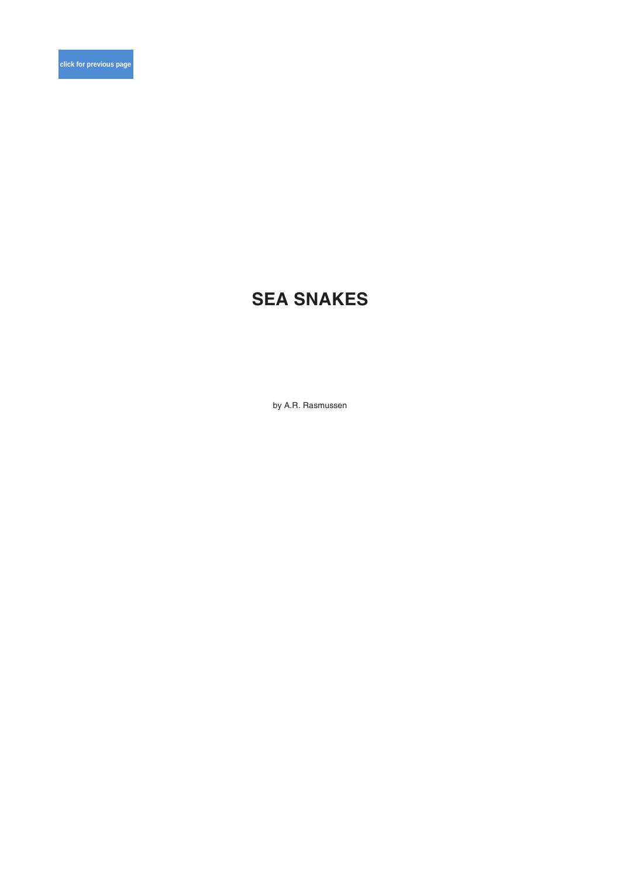# **SEA SNAKES**

by A.R. Rasmussen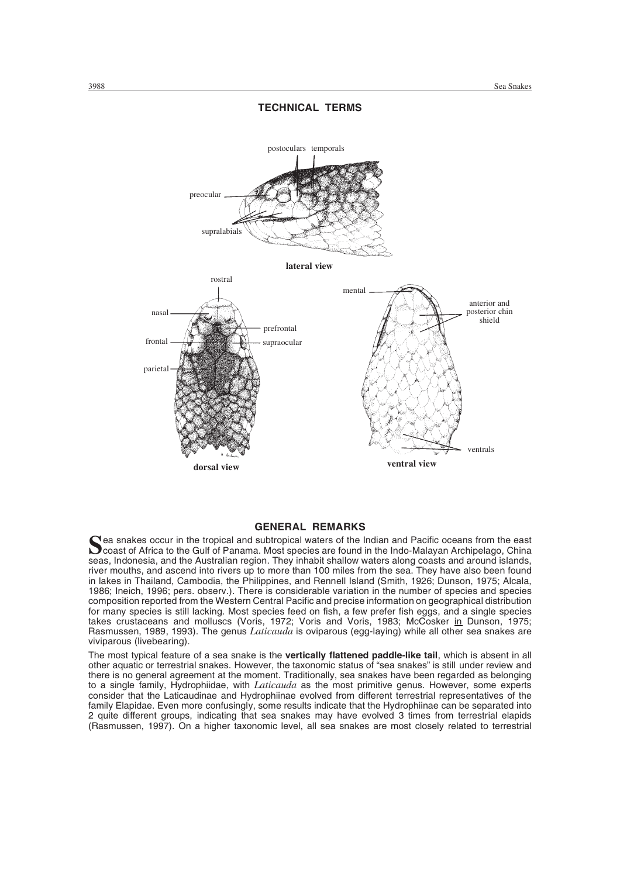

# **TECHNICAL TERMS**

# General Remarks **GENERAL REMARKS**

Sea snakes occur in the tropical and subtropical waters of the Indian and Pacific oceans from the east<br>coast of Africa to the Gulf of Panama. Most species are found in the Indo-Malayan Archipelago, China<br>coast of Africa to seas, Indonesia, and the Australian region. They inhabit shallow waters along coasts and around islands, river mouths, and ascend into rivers up to more than 100 miles from the sea. They have also been found in lakes in Thailand, Cambodia, the Philippines, and Rennell Island (Smith, 1926; Dunson, 1975; Alcala, 1986; Ineich, 1996; pers. observ.). There is considerable variation in the number of species and species composition reported from the Western Central Pacific and precise information on geographical distribution for many species is still lacking. Most species feed on fish, a few prefer fish eggs, and a single species takes crustaceans and molluscs (Voris, 1972; Voris and Voris, 1983; McCosker in Dunson, 1975; Rasmussen, 1989, 1993). The genus *Laticauda* is oviparous (egg-laying) while all other sea snakes are viviparous (livebearing).

The most typical feature of a sea snake is the **vertically flattened paddle-like tail**, which is absent in all other aquatic or terrestrial snakes. However, the taxonomic status of "sea snakes" is still under review and there is no general agreement at the moment. Traditionally, sea snakes have been regarded as belonging to a single family, Hydrophiidae, with *Laticauda* as the most primitive genus. However, some experts consider that the Laticaudinae and Hydrophiinae evolved from different terrestrial representatives of the family Elapidae. Even more confusingly, some results indicate that the Hydrophiinae can be separated into 2 quite different groups, indicating that sea snakes may have evolved 3 times from terrestrial elapids (Rasmussen, 1997). On a higher taxonomic level, all sea snakes are most closely related to terrestrial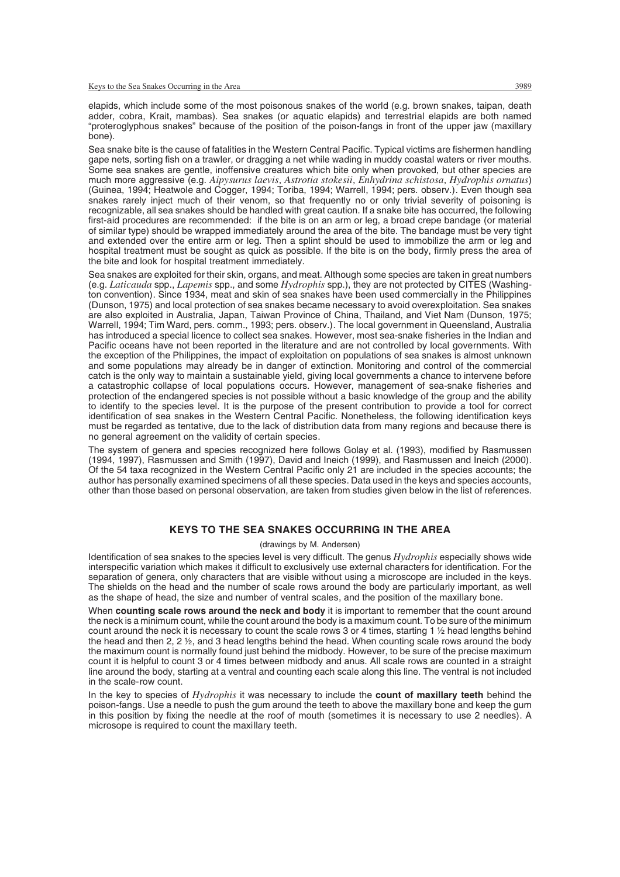elapids, which include some of the most poisonous snakes of the world (e.g. brown snakes, taipan, death adder, cobra, Krait, mambas). Sea snakes (or aquatic elapids) and terrestrial elapids are both named "proteroglyphous snakes" because of the position of the poison-fangs in front of the upper jaw (maxillary bone).

Sea snake bite is the cause of fatalities in the Western Central Pacific. Typical victims are fishermen handling gape nets, sorting fish on a trawler, or dragging a net while wading in muddy coastal waters or river mouths. Some sea snakes are gentle, inoffensive creatures which bite only when provoked, but other species are much more aggressive (e.g. *Aipysurus laevis*, *Astrotia stokesii*, *Enhydrina schistosa*, *Hydrophis ornatus*) (Guinea, 1994; Heatwole and Cogger, 1994; Toriba, 1994; Warrell, 1994; pers. observ.). Even though sea snakes rarely inject much of their venom, so that frequently no or only trivial severity of poisoning is recognizable, all sea snakes should be handled with great caution. If a snake bite has occurred, the following first-aid procedures are recommended: if the bite is on an arm or leg, a broad crepe bandage (or material of similar type) should be wrapped immediately around the area of the bite. The bandage must be very tight and extended over the entire arm or leg. Then a splint should be used to immobilize the arm or leg and hospital treatment must be sought as quick as possible. If the bite is on the body, firmly press the area of the bite and look for hospital treatment immediately.

Sea snakes are exploited for their skin, organs, and meat. Although some species are taken in great numbers (e.g. *Laticauda* spp., *Lapemis* spp., and some *Hydrophis* spp.), they are not protected by CITES (Washington convention). Since 1934, meat and skin of sea snakes have been used commercially in the Philippines (Dunson, 1975) and local protection of sea snakes became necessary to avoid overexploitation. Sea snakes are also exploited in Australia, Japan, Taiwan Province of China, Thailand, and Viet Nam (Dunson, 1975; Warrell, 1994; Tim Ward, pers. comm., 1993; pers. observ.). The local government in Queensland, Australia has introduced a special licence to collect sea snakes. However, most sea-snake fisheries in the Indian and Pacific oceans have not been reported in the literature and are not controlled by local governments. With the exception of the Philippines, the impact of exploitation on populations of sea snakes is almost unknown and some populations may already be in danger of extinction. Monitoring and control of the commercial catch is the only way to maintain a sustainable yield, giving local governments a chance to intervene before a catastrophic collapse of local populations occurs. However, management of sea-snake fisheries and protection of the endangered species is not possible without a basic knowledge of the group and the ability to identify to the species level. It is the purpose of the present contribution to provide a tool for correct identification of sea snakes in the Western Central Pacific. Nonetheless, the following identification keys must be regarded as tentative, due to the lack of distribution data from many regions and because there is no general agreement on the validity of certain species.

The system of genera and species recognized here follows Golay et al. (1993), modified by Rasmussen (1994, 1997), Rasmussen and Smith (1997), David and Ineich (1999), and Rasmussen and Ineich (2000). Of the 54 taxa recognized in the Western Central Pacific only 21 are included in the species accounts; the author has personally examined specimens of all these species. Data used in the keys and species accounts, other than those based on personal observation, are taken from studies given below in the list of references.

# Keys to the Sea Snakes Occurring in the Area **KEYS TO THE SEA SNAKES OCCURRING IN THE AREA**

#### (drawings by M. Andersen)

Identification of sea snakes to the species level is very difficult. The genus *Hydrophis* especially shows wide interspecific variation which makes it difficult to exclusively use external characters for identification. For the separation of genera, only characters that are visible without using a microscope are included in the keys. The shields on the head and the number of scale rows around the body are particularly important, as well as the shape of head, the size and number of ventral scales, and the position of the maxillary bone.

When **counting scale rows around the neck and body** it is important to remember that the count around the neck is a minimum count, while the count around the body is a maximum count. To be sure of the minimum count around the neck it is necessary to count the scale rows 3 or 4 times, starting 1 ½ head lengths behind the head and then 2, 2 ½, and 3 head lengths behind the head. When counting scale rows around the body the maximum count is normally found just behind the midbody. However, to be sure of the precise maximum count it is helpful to count 3 or 4 times between midbody and anus. All scale rows are counted in a straight line around the body, starting at a ventral and counting each scale along this line. The ventral is not included in the scale-row count.

In the key to species of *Hydrophis* it was necessary to include the **count of maxillary teeth** behind the poison-fangs. Use a needle to push the gum around the teeth to above the maxillary bone and keep the gum in this position by fixing the needle at the roof of mouth (sometimes it is necessary to use 2 needles). A microsope is required to count the maxillary teeth.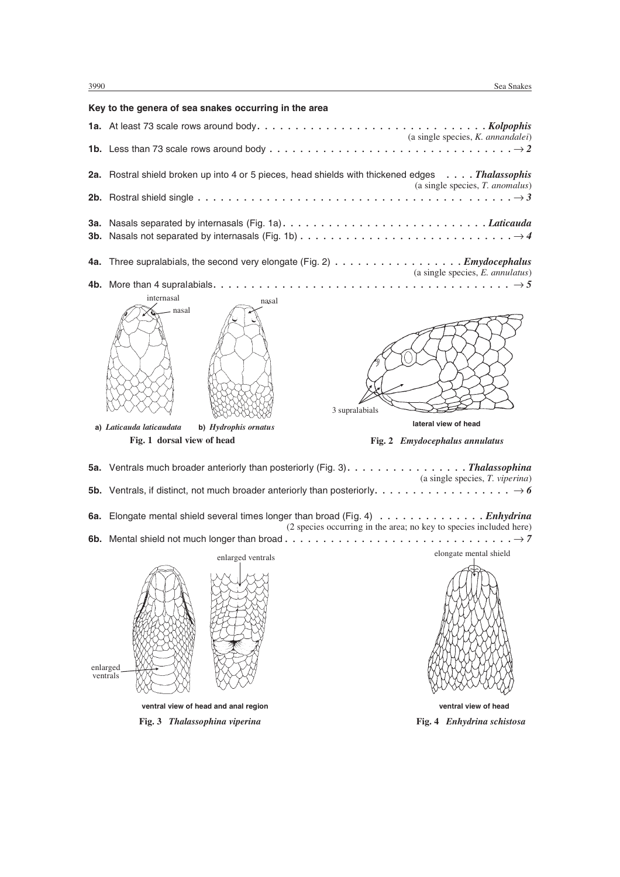# **Key to the genera of sea snakes occurring in the area 1a.** At least 73 scale rows around body *. . . . . . . . . . . . . . . . . . . . . . . . . . . . . . Kolpophis* (a single species, *K. annandalei*) **1b.** Less than 73 scale rows around body  $\dots \dots \dots \dots \dots \dots \dots \dots \dots \dots \dots \dots \longrightarrow 2$ **2a.** Rostral shield broken up into 4 or 5 pieces, head shields with thickened edges *. . . . Thalassophis* (a single species, *T. anomalus*) **2b.** Rostral shield single *................................... ...... 3* **3a.** Nasals separated by internasals (Fig. 1a) *. . . . . . . . . . . . . . . . . . . . . . . . . . . Laticauda* **3b.** Nasals not separated by internasals (Fig. 1b)  $\dots \dots \dots \dots \dots \dots \dots \dots \dots \dots \longrightarrow 4$ **4a.** Three supralabials, the second very elongate (Fig. 2) *. . . . . . . . . . . . . . . . . Emydocephalus* (a single species, *E. annulatus*) **4b.** More than 4 supralabials *....................................... 5* internasal nasal nasal **a)** *Laticauda laticaudata* **b)** *Hydrophis ornatus* **Fig. 1 dorsal view of head** nasal 3 supralabials **lateral view of head Fig. 2** *Emydocephalus annulatus*

|                               |                                      | 5a. Ventrals much broader anteriorly than posteriorly (Fig. 3). Thalassophina<br>$(a \text{ single species}, T. viperina)$                                                |
|-------------------------------|--------------------------------------|---------------------------------------------------------------------------------------------------------------------------------------------------------------------------|
|                               |                                      |                                                                                                                                                                           |
|                               |                                      | 6a. Elongate mental shield several times longer than broad (Fig. 4) $\dots \dots \dots \dots \dots$<br>(2 species occurring in the area; no key to species included here) |
|                               |                                      |                                                                                                                                                                           |
|                               | enlarged ventrals                    | elongate mental shield                                                                                                                                                    |
| enlarged<br>ventrals          |                                      |                                                                                                                                                                           |
|                               | ventral view of head and anal region | ventral view of head                                                                                                                                                      |
| Fig. 3 Thalassophina viperina |                                      | Fig. 4 Enhydrina schistosa                                                                                                                                                |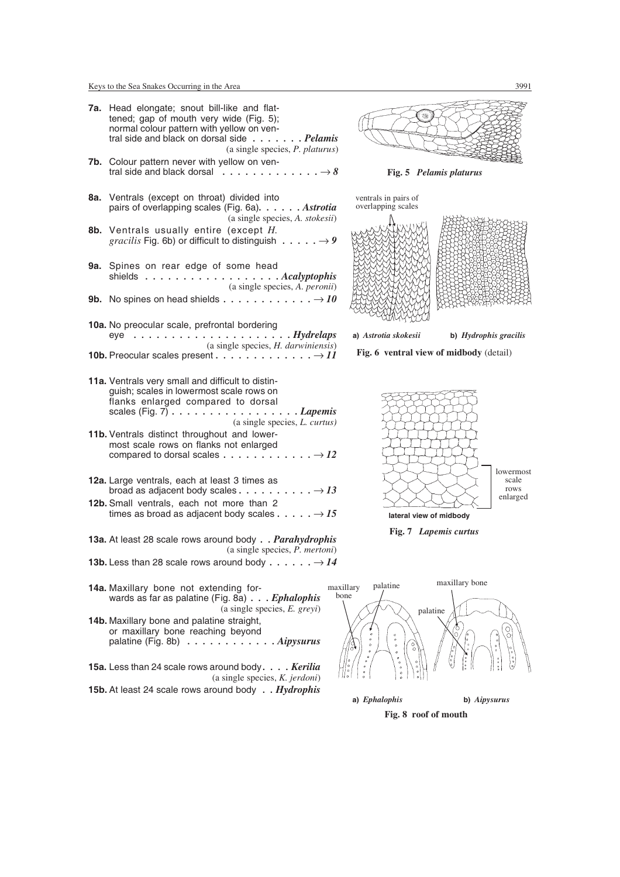|     | <b>7a.</b> Head elongate; snout bill-like and flat-<br>tened; gap of mouth very wide (Fig. 5);<br>normal colour pattern with yellow on ven-<br>tral side and black on dorsal side Pelamis<br>(a single species, P. platurus)                |                            |
|-----|---------------------------------------------------------------------------------------------------------------------------------------------------------------------------------------------------------------------------------------------|----------------------------|
|     | 7b. Colour pattern never with yellow on ven-<br>tral side and black dorsal $\ldots \ldots \ldots \ldots \ldots \rightarrow 8$                                                                                                               |                            |
|     | 8a. Ventrals (except on throat) divided into<br>pairs of overlapping scales (Fig. 6a). Astrotia<br>(a single species, A. stokesii)                                                                                                          | ventrals in<br>overlappir  |
|     | 8b. Ventrals usually entire (except H.<br><i>gracilis</i> Fig. 6b) or difficult to distinguish $\dots \dots \rightarrow 9$                                                                                                                  |                            |
| 9а. | Spines on rear edge of some head<br>shields Acalyptophis<br>(a single species, A. peronii)                                                                                                                                                  |                            |
|     | <b>9b.</b> No spines on head shields $\ldots \ldots \ldots \ldots \ldots \rightarrow 10$                                                                                                                                                    |                            |
|     | 10a. No preocular scale, prefrontal bordering<br>$eye \ldots \ldots \ldots \ldots \ldots \ldots \ldots$ . Hydrelaps<br>(a single species, <i>H. darwiniensis</i> )                                                                          | a) Astrotia                |
|     | <b>10b.</b> Preocular scales present $\dots \dots \dots \dots \dots \dots \dots$                                                                                                                                                            | Fig. $6 \text{ v}$         |
|     | 11a. Ventrals very small and difficult to distin-<br>guish; scales in lowermost scale rows on<br>flanks enlarged compared to dorsal<br>scales (Fig. 7) $\ldots \ldots \ldots \ldots \ldots \ldots$ Lapemis<br>(a single species, L. curtus) |                            |
|     | 11b. Ventrals distinct throughout and lower-<br>most scale rows on flanks not enlarged                                                                                                                                                      | さくてに                       |
|     | 12a. Large ventrals, each at least 3 times as<br>12b. Small ventrals, each not more than 2<br>times as broad as adjacent body scales $\dots \dots \rightarrow I5$                                                                           | K<br>K                     |
|     | 13a. At least 28 scale rows around body Parahydrophis<br>$(a \text{ single species}, P. \text{ metric}$                                                                                                                                     |                            |
|     | <b>13b.</b> Less than 28 scale rows around body $\dots \dots \rightarrow 14$                                                                                                                                                                |                            |
|     | 14a. Maxillary bone not extending for-<br>wards as far as palatine (Fig. 8a) Ephalophis<br>(a single species, $E$ . greyi)                                                                                                                  | palat<br>maxillary<br>bone |
|     | 14b. Maxillary bone and palatine straight,<br>or maxillary bone reaching beyond<br>palatine (Fig. 8b) $\ldots \ldots \ldots$<br>. Aipysurus                                                                                                 | $\circ$                    |
|     | 15a. Less than 24 scale rows around body. Kerilia<br>(a single species, $K.$ jerdoni)                                                                                                                                                       |                            |
|     | 15b. At least 24 scale rows around body Hydrophis                                                                                                                                                                                           |                            |



**Fig. 5** *Pelamis platurus*





**Fig. 6 ventral view of midbody** (detail)







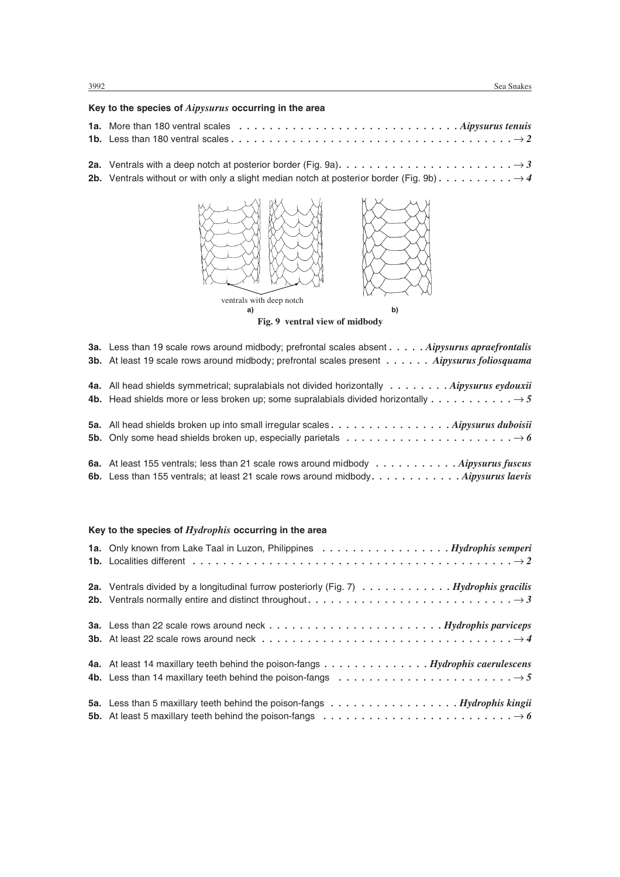# **Key to the species of** *Aipysurus* **occurring in the area**

| $\mathbf{A} = \{A_1, A_2, \ldots, A_n\}$ and $\mathbf{A} = \{A_1, A_2, \ldots, A_n\}$ and $\mathbf{A} = \{A_1, A_2, \ldots, A_n\}$ | $\cdot$ $\cdot$ |
|------------------------------------------------------------------------------------------------------------------------------------|-----------------|

2a. Ventrals with a deep notch at posterior border (Fig. 9a).  $\dots \dots \dots \dots \dots \dots \dots \dots \longrightarrow 3$ 2b. Ventrals without or with only a slight median notch at posterior border (Fig. 9b)  $\dots \dots \dots \longrightarrow 4$ 



**Fig. 9 ventral view of midbody**

| <b>3a.</b> Less than 19 scale rows around midbody; prefrontal scales absent Aipysurus apraefrontalis                                  |
|---------------------------------------------------------------------------------------------------------------------------------------|
| 3b. At least 19 scale rows around midbody; prefrontal scales present Aipysurus foliosquama                                            |
| 4a. All head shields symmetrical; supralabials not divided horizontally Aipysurus eydouxii                                            |
| <b>4b.</b> Head shields more or less broken up; some supralabials divided horizontally $\dots \dots \dots \dots \rightarrow 5$        |
| 5a. All head shields broken up into small irregular scales Aipysurus duboisii                                                         |
| <b>5b.</b> Only some head shields broken up, especially parietals $\dots \dots \dots \dots \dots \dots \dots \dots \longrightarrow 6$ |

| 6a. At least 155 ventrals; less than 21 scale rows around midbody $\dots \dots \dots \dots$ Aipysurus fuscus    |
|-----------------------------------------------------------------------------------------------------------------|
| 6b. Less than 155 ventrals; at least 21 scale rows around midbody. $\dots \dots \dots \dots$ . Aipysurus laevis |

# **Key to the species of** *Hydrophis* **occurring in the area**

| 1a. Only known from Lake Taal in Luzon, Philippines Hydrophis semperi                                                                                                                                                                                                        |
|------------------------------------------------------------------------------------------------------------------------------------------------------------------------------------------------------------------------------------------------------------------------------|
| 2a. Ventrals divided by a longitudinal furrow posteriorly (Fig. 7) Hydrophis gracilis                                                                                                                                                                                        |
| <b>3a.</b> Less than 22 scale rows around neck $\ldots \ldots \ldots \ldots \ldots \ldots \ldots \ldots$ . Hydrophis parviceps<br><b>3b.</b> At least 22 scale rows around neck $\ldots \ldots \ldots \ldots \ldots \ldots \ldots \ldots \ldots \ldots \ldots \rightarrow 4$ |
| 4a. At least 14 maxillary teeth behind the poison-fangs Hydrophis caerulescens<br>4b. Less than 14 maxillary teeth behind the poison-fangs $\dots \dots \dots \dots \dots \dots \dots \dots \longrightarrow 5$                                                               |
| 5a. Less than 5 maxillary teeth behind the poison-fangs $\dots \dots \dots \dots \dots \dots$ . $Hydrophis$ kingii<br>5b. At least 5 maxillary teeth behind the poison-fangs $\dots \dots \dots \dots \dots \dots \dots \dots \dots \dots \to 6$                             |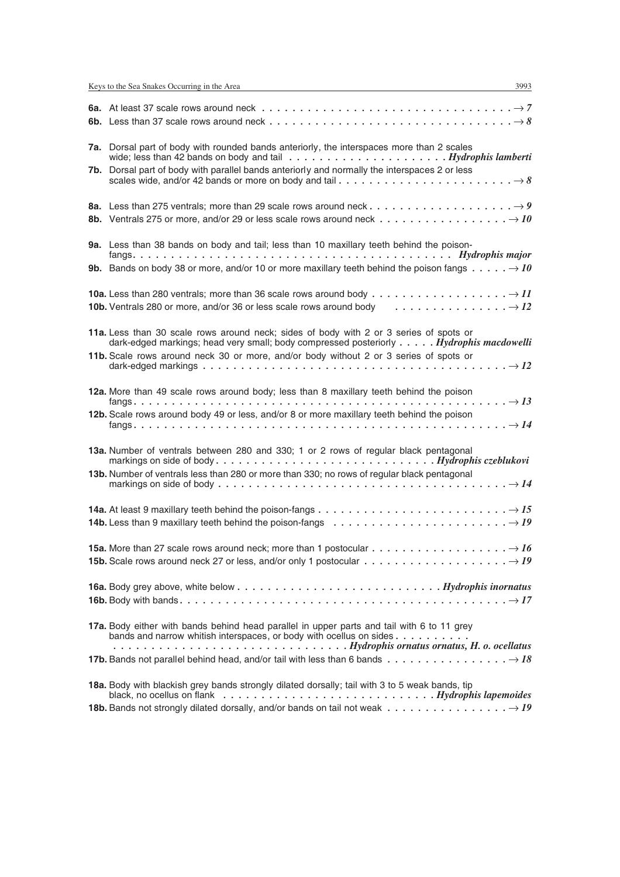| 6a. At least 37 scale rows around neck $\ldots \ldots \ldots \ldots \ldots \ldots \ldots \ldots \ldots \ldots \ldots \rightarrow 7$                                                                                                   |
|---------------------------------------------------------------------------------------------------------------------------------------------------------------------------------------------------------------------------------------|
|                                                                                                                                                                                                                                       |
| 7a. Dorsal part of body with rounded bands anteriorly, the interspaces more than 2 scales<br>wide; less than 42 bands on body and tail $\ldots \ldots \ldots \ldots \ldots \ldots \ldots$ . Hydrophis lamberti                        |
| 7b. Dorsal part of body with parallel bands anteriorly and normally the interspaces 2 or less<br>scales wide, and/or 42 bands or more on body and tail $\dots \dots \dots \dots \dots \dots \dots \dots \dots \to 8$                  |
| <b>8b.</b> Ventrals 275 or more, and/or 29 or less scale rows around neck $\dots \dots \dots \dots \dots \dots \longrightarrow 10$                                                                                                    |
| 9a. Less than 38 bands on body and tail; less than 10 maxillary teeth behind the poison-                                                                                                                                              |
| <b>9b.</b> Bands on body 38 or more, and/or 10 or more maxillary teeth behind the poison fangs $\dots \dots \rightarrow 10$                                                                                                           |
| <b>10b.</b> Ventrals 280 or more, and/or 36 or less scale rows around body $\dots \dots \dots \dots \dots \longrightarrow 12$                                                                                                         |
| 11a. Less than 30 scale rows around neck; sides of body with 2 or 3 series of spots or<br>dark-edged markings; head very small; body compressed posteriorly Hydrophis macdowelli                                                      |
| 11b. Scale rows around neck 30 or more, and/or body without 2 or 3 series of spots or                                                                                                                                                 |
| 12a. More than 49 scale rows around body; less than 8 maxillary teeth behind the poison<br>12b. Scale rows around body 49 or less, and/or 8 or more maxillary teeth behind the poison                                                 |
|                                                                                                                                                                                                                                       |
| 13a. Number of ventrals between 280 and 330; 1 or 2 rows of regular black pentagonal                                                                                                                                                  |
| 13b. Number of ventrals less than 280 or more than 330; no rows of regular black pentagonal<br>markings on side of body $\dots \dots \dots \dots \dots \dots \dots \dots \dots \dots \dots \dots \dots \dots \dots \dots \dots \dots$ |
| 14a. At least 9 maxillary teeth behind the poison-fangs $\dots \dots \dots \dots \dots \dots \dots \dots \dots \dots \longrightarrow 15$                                                                                              |
| 14b. Less than 9 maxillary teeth behind the poison-fangs $\dots \dots \dots \dots \dots \dots \dots \dots \dots \longrightarrow I9$                                                                                                   |
| <b>15a.</b> More than 27 scale rows around neck; more than 1 postocular $\dots \dots \dots \dots \dots \dots \longrightarrow 16$                                                                                                      |
| <b>15b.</b> Scale rows around neck 27 or less, and/or only 1 postocular $\dots \dots \dots \dots \dots \dots \dots \longrightarrow 19$                                                                                                |
|                                                                                                                                                                                                                                       |
|                                                                                                                                                                                                                                       |
| 17a. Body either with bands behind head parallel in upper parts and tail with 6 to 11 grey<br>bands and narrow whitish interspaces, or body with ocellus on sides                                                                     |
|                                                                                                                                                                                                                                       |
| 18a. Body with blackish grey bands strongly dilated dorsally; tail with 3 to 5 weak bands, tip                                                                                                                                        |
|                                                                                                                                                                                                                                       |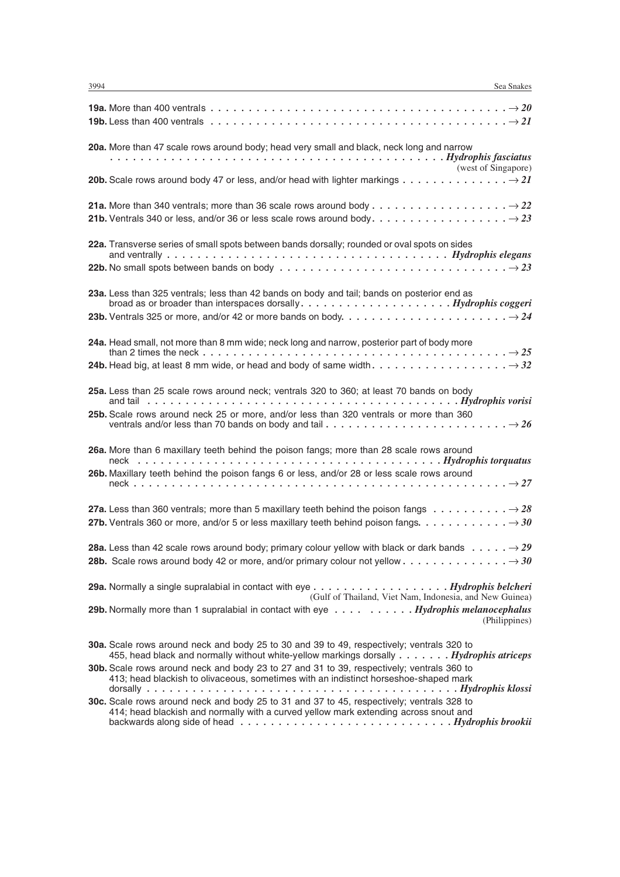| 19a. More than 400 ventrals $\dots \dots \dots \dots \dots \dots \dots \dots \dots \dots \dots \dots \dots \dots \dots \dots \longrightarrow 20$<br>19b. Less than 400 ventrals $\dots \dots \dots \dots \dots \dots \dots \dots \dots \dots \dots \dots \dots \dots \dots \longrightarrow 21$                                                |
|-----------------------------------------------------------------------------------------------------------------------------------------------------------------------------------------------------------------------------------------------------------------------------------------------------------------------------------------------|
| 20a. More than 47 scale rows around body; head very small and black, neck long and narrow                                                                                                                                                                                                                                                     |
|                                                                                                                                                                                                                                                                                                                                               |
|                                                                                                                                                                                                                                                                                                                                               |
| 22a. Transverse series of small spots between bands dorsally; rounded or oval spots on sides                                                                                                                                                                                                                                                  |
| 23a. Less than 325 ventrals; less than 42 bands on body and tail; bands on posterior end as<br>broad as or broader than interspaces dorsally. $\dots \dots \dots \dots \dots \dots$ . $Hydrophis coggeri$<br>23b. Ventrals 325 or more, and/or 42 or more bands on body. $\dots \dots \dots \dots \dots \dots \dots \dots \longrightarrow 24$ |
| 24a. Head small, not more than 8 mm wide; neck long and narrow, posterior part of body more                                                                                                                                                                                                                                                   |
|                                                                                                                                                                                                                                                                                                                                               |
| 25a. Less than 25 scale rows around neck; ventrals 320 to 360; at least 70 bands on body                                                                                                                                                                                                                                                      |
| 25b. Scale rows around neck 25 or more, and/or less than 320 ventrals or more than 360<br>ventrals and/or less than 70 bands on body and tail $\ldots \ldots \ldots \ldots \ldots \ldots \ldots \ldots \ldots \to 26$                                                                                                                         |
| 26a. More than 6 maxillary teeth behind the poison fangs; more than 28 scale rows around<br>26b. Maxillary teeth behind the poison fangs 6 or less, and/or 28 or less scale rows around                                                                                                                                                       |
| 27a. Less than 360 ventrals; more than 5 maxillary teeth behind the poison fangs $\dots \dots \dots \longrightarrow 28$                                                                                                                                                                                                                       |
| 28a. Less than 42 scale rows around body; primary colour yellow with black or dark bands $\rightarrow$ 29                                                                                                                                                                                                                                     |
| (Gulf of Thailand, Viet Nam, Indonesia, and New Guinea)                                                                                                                                                                                                                                                                                       |
| 29b. Normally more than 1 supralabial in contact with eye Hydrophis melanocephalus<br>(Philippines)                                                                                                                                                                                                                                           |
| <b>30a.</b> Scale rows around neck and body 25 to 30 and 39 to 49, respectively; ventrals 320 to<br>455, head black and normally without white-yellow markings dorsally Hydrophis atriceps                                                                                                                                                    |
| 30b. Scale rows around neck and body 23 to 27 and 31 to 39, respectively; ventrals 360 to<br>413; head blackish to olivaceous, sometimes with an indistinct horseshoe-shaped mark                                                                                                                                                             |
| 30c. Scale rows around neck and body 25 to 31 and 37 to 45, respectively; ventrals 328 to                                                                                                                                                                                                                                                     |

414; head blackish and normally with a curved yellow mark extending across snout and backwards along side of head *. . . . . . . . . . . . . . . . . . . . . . . . . . . . Hydrophis brookii*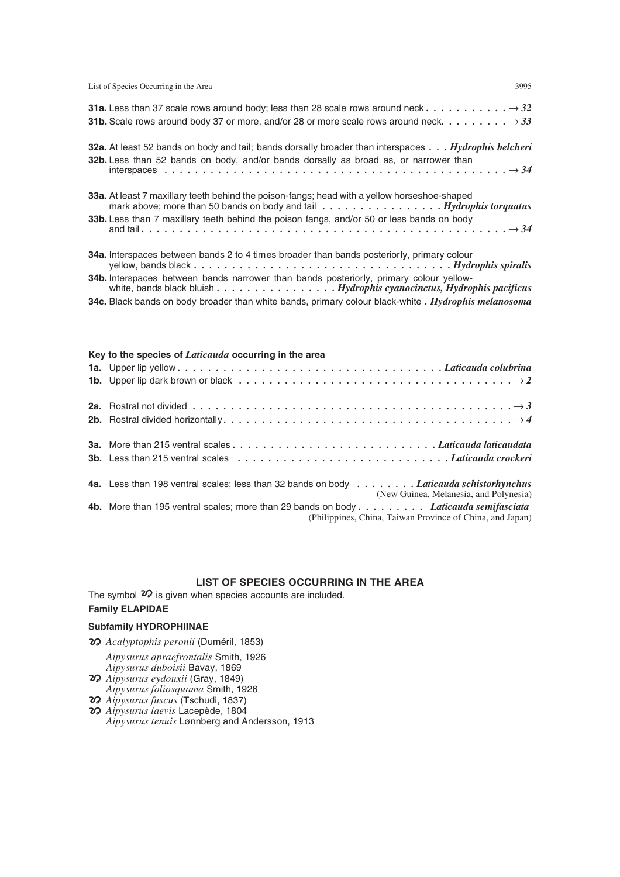| <b>31a.</b> Less than 37 scale rows around body; less than 28 scale rows around neck $\dots \dots \dots \dots \rightarrow 32$<br><b>31b.</b> Scale rows around body 37 or more, and/or 28 or more scale rows around neck. $\dots \dots \dots \rightarrow 33$            |
|-------------------------------------------------------------------------------------------------------------------------------------------------------------------------------------------------------------------------------------------------------------------------|
| <b>32a.</b> At least 52 bands on body and tail; bands dorsally broader than interspaces Hydrophis belcheri<br>32b. Less than 52 bands on body, and/or bands dorsally as broad as, or narrower than                                                                      |
| <b>33a.</b> At least 7 maxillary teeth behind the poison-fangs; head with a yellow horseshoe-shaped<br>mark above; more than 50 bands on body and tail Hydrophis torquatus<br>33b. Less than 7 maxillary teeth behind the poison fangs, and/or 50 or less bands on body |
| <b>34a.</b> Interspaces between bands 2 to 4 times broader than bands posteriorly, primary colour<br>yellow, bands black $\dots \dots \dots \dots \dots \dots \dots \dots \dots \dots \dots \dots$ . $Hydrophis spiral is$                                              |

**34b.** Interspaces between bands narrower than bands posteriorly, primary colour yellowwhite, bands black bluish *. . . . . . . . . . . . . . . . Hydrophis cyanocinctus, Hydrophis pacificus*

**34c.** Black bands on body broader than white bands, primary colour black-white *. Hydrophis melanosoma*

#### **Key to the species of** *Laticauda* **occurring in the area**

| 1b. Upper lip dark brown or black $\dots \dots \dots \dots \dots \dots \dots \dots \dots \dots \dots \dots \dots \longrightarrow 2$     |
|-----------------------------------------------------------------------------------------------------------------------------------------|
|                                                                                                                                         |
|                                                                                                                                         |
|                                                                                                                                         |
|                                                                                                                                         |
| 4a. Less than 198 ventral scales; less than 32 bands on body <i>Laticauda schistorhynchus</i><br>(New Guinea, Melanesia, and Polynesia) |
| Ab Mara than 195 vantral scales; mara than 29 hands on body <i>I aticauda semifasciata</i>                                              |

**4b.** More than 195 ventral scales; more than 29 bands on body *. . . . . . . . . Laticauda semifasciata* (Philippines, China, Taiwan Province of China, and Japan)

#### List of Species Occurring in the Area **LIST OF SPECIES OCCURRING IN THE AREA**

The symbol  $\mathcal D$  is given when species accounts are included.

# **Family ELAPIDAE**

#### **Subfamily HYDROPHIINAE**

*Acalyptophis peronii* (Duméril, 1853)

*Aipysurus apraefrontalis* Smith, 1926

- *Aipysurus duboisii* Bavay, 1869
- *Aipysurus eydouxii* (Gray, 1849) *Aipysurus foliosquama* Smith, 1926
- *Aipysurus fuscus* (Tschudi, 1837)
- *Aipysurus laevis* Lacepède, 1804 *Aipysurus tenuis* Lønnberg and Andersson, 1913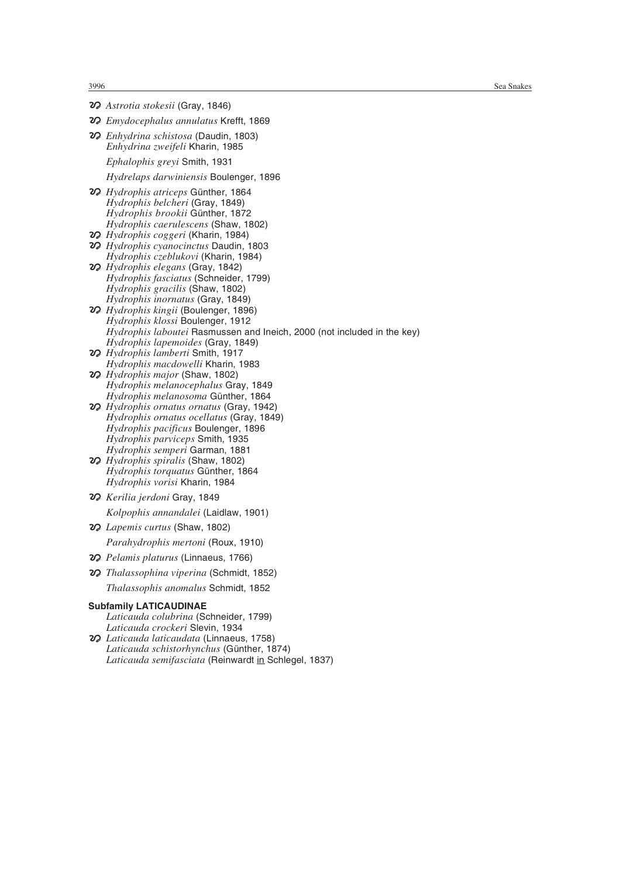- *Astrotia stokesii* (Gray, 1846)
- *Emydocephalus annulatus* Krefft, 1869
- *Enhydrina schistosa* (Daudin, 1803) *Enhydrina zweifeli* Kharin, 1985
	- *Ephalophis greyi* Smith, 1931

*Hydrelaps darwiniensis* Boulenger, 1896

- *Hydrophis atriceps* Günther, 1864 *Hydrophis belcheri* (Gray, 1849) *Hydrophis brookii* Günther, 1872 *Hydrophis caerulescens* (Shaw, 1802)
- *Hydrophis coggeri* (Kharin, 1984)
- *Hydrophis cyanocinctus* Daudin, 1803 *Hydrophis czeblukovi* (Kharin, 1984)
- *Hydrophis elegans* (Gray, 1842) *Hydrophis fasciatus* (Schneider, 1799) *Hydrophis gracilis* (Shaw, 1802) *Hydrophis inornatus* (Gray, 1849)
- *Hydrophis kingii* (Boulenger, 1896) *Hydrophis klossi* Boulenger, 1912 *Hydrophis laboutei* Rasmussen and Ineich, 2000 (not included in the key) *Hydrophis lapemoides* (Gray, 1849)
- *Hydrophis lamberti* Smith, 1917 *Hydrophis macdowelli* Kharin, 1983
- *Hydrophis major* (Shaw, 1802) *Hydrophis melanocephalus* Gray, 1849 *Hydrophis melanosoma* Günther, 1864
- *Hydrophis ornatus ornatus* (Gray, 1942) *Hydrophis ornatus ocellatus* (Gray, 1849) *Hydrophis pacificus* Boulenger, 1896 *Hydrophis parviceps* Smith, 1935 *Hydrophis semperi* Garman, 1881
- *Hydrophis spiralis* (Shaw, 1802) *Hydrophis torquatus* Günther, 1864 *Hydrophis vorisi* Kharin, 1984
- *Kerilia jerdoni* Gray, 1849 *Kolpophis annandalei* (Laidlaw, 1901)
- *Lapemis curtus* (Shaw, 1802) *Parahydrophis mertoni* (Roux, 1910)
- *Pelamis platurus* (Linnaeus, 1766)
- *Thalassophina viperina* (Schmidt, 1852) *Thalassophis anomalus* Schmidt, 1852

#### **Subfamily LATICAUDINAE**

*Laticauda colubrina* (Schneider, 1799) *Laticauda crockeri* Slevin, 1934

 *Laticauda laticaudata* (Linnaeus, 1758) *Laticauda schistorhynchus* (Günther, 1874) *Laticauda semifasciata* (Reinwardt in Schlegel, 1837)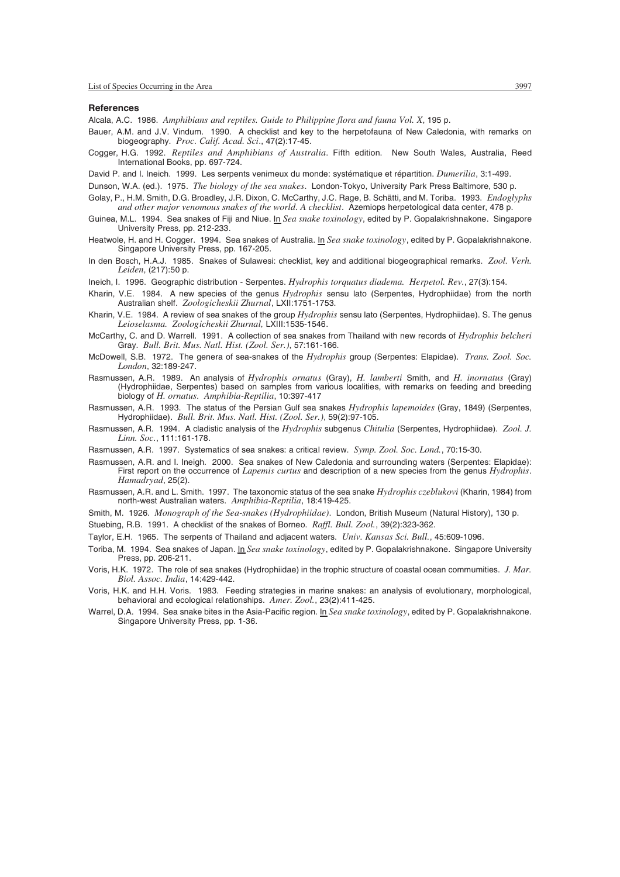#### **References**

Alcala, A.C. 1986. *Amphibians and reptiles. Guide to Philippine flora and fauna Vol. X*, 195 p.

- Bauer, A.M. and J.V. Vindum. 1990. A checklist and key to the herpetofauna of New Caledonia, with remarks on biogeography. *Proc. Calif. Acad. Sci*., 47(2):17-45.
- Cogger, H.G. 1992. *Reptiles and Amphibians of Australia*. Fifth edition. New South Wales, Australia, Reed International Books, pp. 697-724.
- David P. and I. Ineich. 1999. Les serpents venimeux du monde: systématique et répartition. *Dumerilia*, 3:1-499.
- Dunson, W.A. (ed.). 1975. *The biology of the sea snakes*. London-Tokyo, University Park Press Baltimore, 530 p.
- Golay, P., H.M. Smith, D.G. Broadley, J.R. Dixon, C. McCarthy, J.C. Rage, B. Schätti, and M. Toriba. 1993. *Endoglyphs and other major venomous snakes of the world. A checklist*. Azemiops herpetological data center, 478 p.
- Guinea, M.L. 1994. Sea snakes of Fiji and Niue. In *Sea snake toxinology*, edited by P. Gopalakrishnakone. Singapore University Press, pp. 212-233.
- Heatwole, H. and H. Cogger. 1994. Sea snakes of Australia. In *Sea snake toxinology*, edited by P. Gopalakrishnakone. Singapore University Press, pp. 167-205.
- In den Bosch, H.A.J. 1985. Snakes of Sulawesi: checklist, key and additional biogeographical remarks. *Zool. Verh. Leiden*, (217):50 p.
- Ineich, I. 1996. Geographic distribution Serpentes. *Hydrophis torquatus diadema. Herpetol. Rev.*, 27(3):154.
- Kharin, V.E. 1984. A new species of the genus *Hydrophis* sensu lato (Serpentes, Hydrophiidae) from the north Australian shelf. *Zoologicheskii Zhurnal*, LXII:1751-1753.
- Kharin, V.E. 1984. A review of sea snakes of the group *Hydrophis* sensu lato (Serpentes, Hydrophiidae). S. The genus *Leioselasma. Zoologicheskii Zhurnal,* LXIII:1535-1546.
- McCarthy, C. and D. Warrell. 1991. A collection of sea snakes from Thailand with new records of *Hydrophis belcheri* Gray. *Bull. Brit. Mus. Natl. Hist. (Zool. Ser.)*, 57:161-166.
- McDowell, S.B. 1972. The genera of sea-snakes of the *Hydrophis* group (Serpentes: Elapidae). *Trans. Zool. Soc. London*, 32:189-247.
- Rasmussen, A.R. 1989. An analysis of *Hydrophis ornatus* (Gray), *H. lamberti* Smith, and *H. inornatus* (Gray) (Hydrophiidae, Serpentes) based on samples from various localities, with remarks on feeding and breeding biology of *H. ornatus. Amphibia-Reptilia*, 10:397-417
- Rasmussen, A.R. 1993. The status of the Persian Gulf sea snakes *Hydrophis lapemoides* (Gray, 1849) (Serpentes, Hydrophiidae). *Bull. Brit. Mus. Natl. Hist. (Zool. Ser.)*, 59(2):97-105.
- Rasmussen, A.R. 1994. A cladistic analysis of the *Hydrophis* subgenus *Chitulia* (Serpentes, Hydrophiidae). *Zool. J. Linn. Soc.*, 111:161-178.
- Rasmussen, A.R. 1997. Systematics of sea snakes: a critical review. *Symp. Zool. Soc. Lond.*, 70:15-30.
- Rasmussen, A.R. and I. Ineigh. 2000. Sea snakes of New Caledonia and surrounding waters (Serpentes: Elapidae): First report on the occurrence of *Lapemis curtus* and description of a new species from the genus *Hydrophis*. *Hamadryad*, 25(2).
- Rasmussen, A.R. and L. Smith. 1997. The taxonomic status of the sea snake *Hydrophis czeblukovi* (Kharin, 1984) from north-west Australian waters. *Amphibia-Reptilia*, 18:419-425.
- Smith, M. 1926. *Monograph of the Sea-snakes (Hydrophiidae)*. London, British Museum (Natural History), 130 p.
- Stuebing, R.B. 1991. A checklist of the snakes of Borneo. *Raffl. Bull. Zool.*, 39(2):323-362.
- Taylor, E.H. 1965. The serpents of Thailand and adjacent waters. *Univ. Kansas Sci. Bull.*, 45:609-1096.
- Toriba, M. 1994. Sea snakes of Japan. In *Sea snake toxinology*, edited by P. Gopalakrishnakone. Singapore University Press, pp. 206-211.
- Voris, H.K. 1972. The role of sea snakes (Hydrophiidae) in the trophic structure of coastal ocean commumities. *J. Mar. Biol. Assoc. India*, 14:429-442.
- Voris, H.K. and H.H. Voris. 1983. Feeding strategies in marine snakes: an analysis of evolutionary, morphological, behavioral and ecological relationships. *Amer. Zool.*, 23(2):411-425.
- Warrel, D.A. 1994. Sea snake bites in the Asia-Pacific region. In *Sea snake toxinology*, edited by P. Gopalakrishnakone. Singapore University Press, pp. 1-36.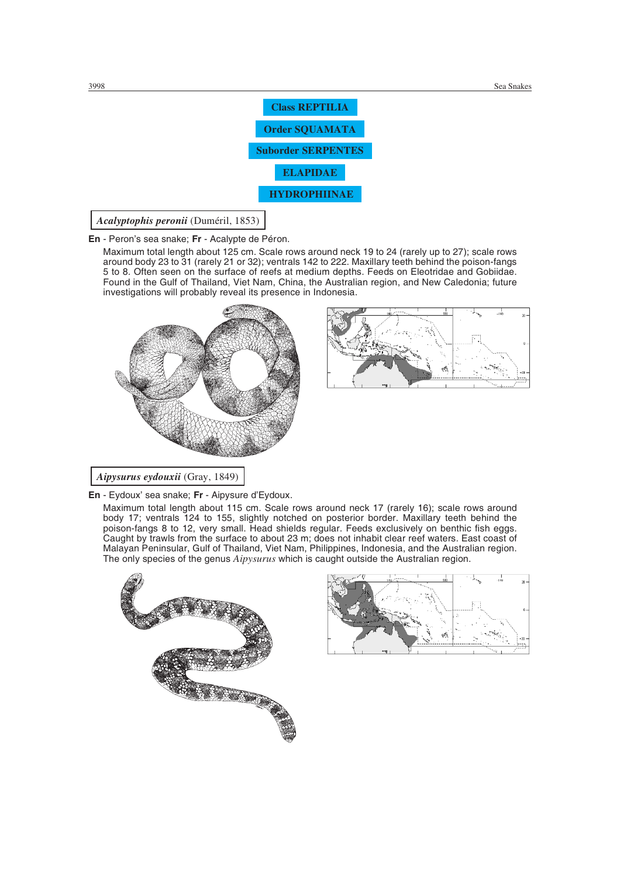

Squamata: Serpentes: Elapidae: Hydrophiinae *Acalyptophis peronii* (Duméril, 1853)

**En** - Peron's sea snake; **Fr** - Acalypte de Péron.

Maximum total length about 125 cm. Scale rows around neck 19 to 24 (rarely up to 27); scale rows around body 23 to 31 (rarely 21 or 32); ventrals 142 to 222. Maxillary teeth behind the poison-fangs 5 to 8. Often seen on the surface of reefs at medium depths. Feeds on Eleotridae and Gobiidae. Found in the Gulf of Thailand, Viet Nam, China, the Australian region, and New Caledonia; future investigations will probably reveal its presence in Indonesia.



*Aipysurus eydouxii* (Gray, 1849)

**En** - Eydoux' sea snake; **Fr** - Aipysure d'Eydoux.

Maximum total length about 115 cm. Scale rows around neck 17 (rarely 16); scale rows around body 17; ventrals 124 to 155, slightly notched on posterior border. Maxillary teeth behind the poison-fangs 8 to 12, very small. Head shields regular. Feeds exclusively on benthic fish eggs. Caught by trawls from the surface to about 23 m; does not inhabit clear reef waters. East coast of Malayan Peninsular, Gulf of Thailand, Viet Nam, Philippines, Indonesia, and the Australian region. The only species of the genus *Aipysurus* which is caught outside the Australian region.



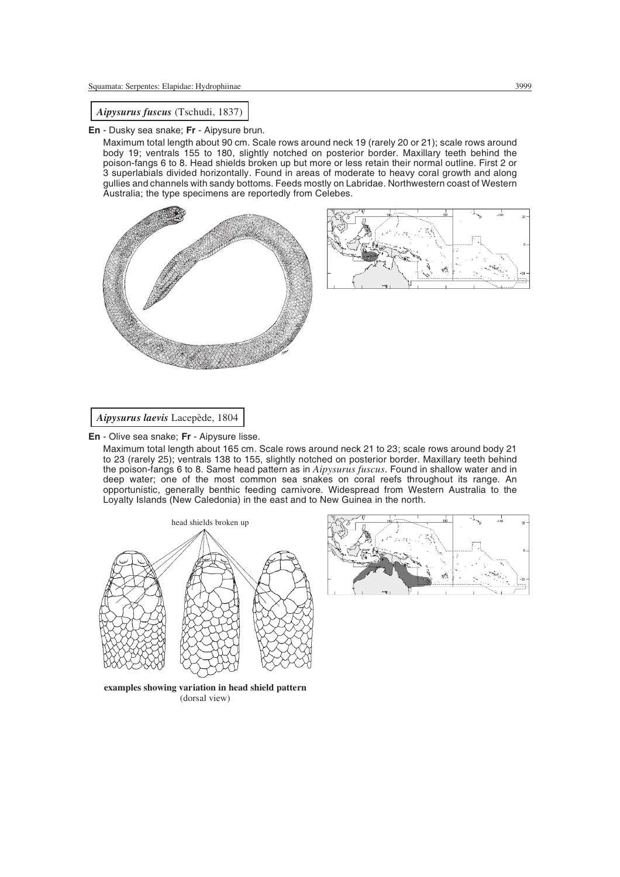*Aipysurus fuscus* (Tschudi, 1837)

**En** - Dusky sea snake; **Fr** - Aipysure brun.

Maximum total length about 90 cm. Scale rows around neck 19 (rarely 20 or 21); scale rows around body 19; ventrals 155 to 180, slightly notched on posterior border. Maxillary teeth behind the poison-fangs 6 to 8. Head shields broken up but more or less retain their normal outline. First 2 or 3 superlabials divided horizontally. Found in areas of moderate to heavy coral growth and along gullies and channels with sandy bottoms. Feeds mostly on Labridae. Northwestern coast of Western Australia; the type specimens are reportedly from Celebes.





*Aipysurus laevis* Lacepède, 1804

**En** - Olive sea snake; **Fr** - Aipysure lisse.

Maximum total length about 165 cm. Scale rows around neck 21 to 23; scale rows around body 21 to 23 (rarely 25); ventrals 138 to 155, slightly notched on posterior border. Maxillary teeth behind the poison-fangs 6 to 8. Same head pattern as in *Aipysurus fuscus*. Found in shallow water and in deep water; one of the most common sea snakes on coral reefs throughout its range. An opportunistic, generally benthic feeding carnivore. Widespread from Western Australia to the Loyalty Islands (New Caledonia) in the east and to New Guinea in the north.





**examples showing variation in head shield pattern** (dorsal view)